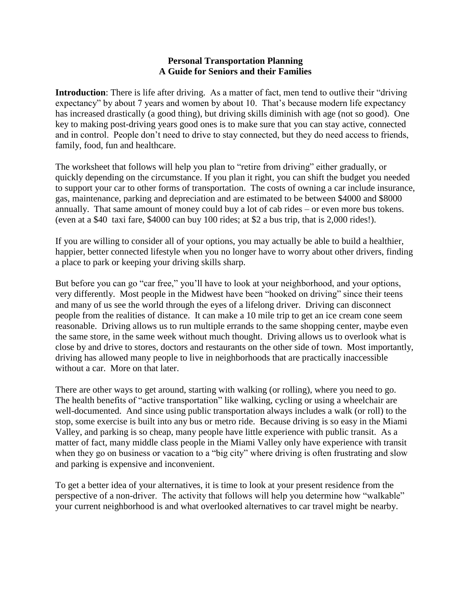## **Personal Transportation Planning A Guide for Seniors and their Families**

**Introduction**: There is life after driving. As a matter of fact, men tend to outlive their "driving expectancy" by about 7 years and women by about 10. That's because modern life expectancy has increased drastically (a good thing), but driving skills diminish with age (not so good). One key to making post-driving years good ones is to make sure that you can stay active, connected and in control. People don't need to drive to stay connected, but they do need access to friends, family, food, fun and healthcare.

The worksheet that follows will help you plan to "retire from driving" either gradually, or quickly depending on the circumstance. If you plan it right, you can shift the budget you needed to support your car to other forms of transportation. The costs of owning a car include insurance, gas, maintenance, parking and depreciation and are estimated to be between \$4000 and \$8000 annually. That same amount of money could buy a lot of cab rides – or even more bus tokens. (even at a \$40 taxi fare, \$4000 can buy 100 rides; at \$2 a bus trip, that is 2,000 rides!).

If you are willing to consider all of your options, you may actually be able to build a healthier, happier, better connected lifestyle when you no longer have to worry about other drivers, finding a place to park or keeping your driving skills sharp.

But before you can go "car free," you'll have to look at your neighborhood, and your options, very differently. Most people in the Midwest have been "hooked on driving" since their teens and many of us see the world through the eyes of a lifelong driver. Driving can disconnect people from the realities of distance. It can make a 10 mile trip to get an ice cream cone seem reasonable. Driving allows us to run multiple errands to the same shopping center, maybe even the same store, in the same week without much thought. Driving allows us to overlook what is close by and drive to stores, doctors and restaurants on the other side of town. Most importantly, driving has allowed many people to live in neighborhoods that are practically inaccessible without a car. More on that later.

There are other ways to get around, starting with walking (or rolling), where you need to go. The health benefits of "active transportation" like walking, cycling or using a wheelchair are well-documented. And since using public transportation always includes a walk (or roll) to the stop, some exercise is built into any bus or metro ride. Because driving is so easy in the Miami Valley, and parking is so cheap, many people have little experience with public transit. As a matter of fact, many middle class people in the Miami Valley only have experience with transit when they go on business or vacation to a "big city" where driving is often frustrating and slow and parking is expensive and inconvenient.

To get a better idea of your alternatives, it is time to look at your present residence from the perspective of a non-driver. The activity that follows will help you determine how "walkable" your current neighborhood is and what overlooked alternatives to car travel might be nearby.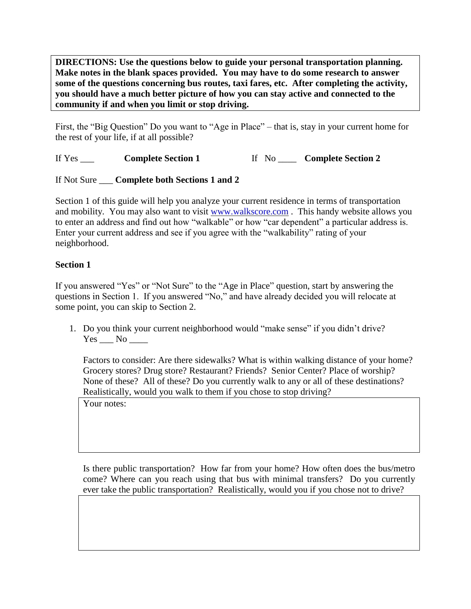**DIRECTIONS: Use the questions below to guide your personal transportation planning. Make notes in the blank spaces provided. You may have to do some research to answer some of the questions concerning bus routes, taxi fares, etc. After completing the activity, you should have a much better picture of how you can stay active and connected to the community if and when you limit or stop driving.**

First, the "Big Question" Do you want to "Age in Place" – that is, stay in your current home for the rest of your life, if at all possible?

If Yes \_\_\_ **Complete Section 1** If No \_\_\_\_ **Complete Section 2** 

If Not Sure \_\_\_ **Complete both Sections 1 and 2**

Section 1 of this guide will help you analyze your current residence in terms of transportation and mobility. You may also want to visit [www.walkscore.com](http://www.walkscore.com/). This handy website allows you to enter an address and find out how "walkable" or how "car dependent" a particular address is. Enter your current address and see if you agree with the "walkability" rating of your neighborhood.

## **Section 1**

If you answered "Yes" or "Not Sure" to the "Age in Place" question, start by answering the questions in Section 1. If you answered "No," and have already decided you will relocate at some point, you can skip to Section 2.

1. Do you think your current neighborhood would "make sense" if you didn't drive? Yes No

Factors to consider: Are there sidewalks? What is within walking distance of your home? Grocery stores? Drug store? Restaurant? Friends? Senior Center? Place of worship? None of these? All of these? Do you currently walk to any or all of these destinations? Realistically, would you walk to them if you chose to stop driving?

Your notes:

Is there public transportation? How far from your home? How often does the bus/metro come? Where can you reach using that bus with minimal transfers? Do you currently ever take the public transportation? Realistically, would you if you chose not to drive?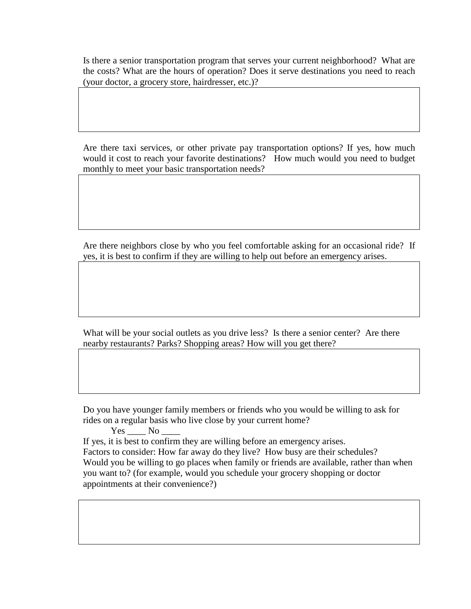Is there a senior transportation program that serves your current neighborhood? What are the costs? What are the hours of operation? Does it serve destinations you need to reach (your doctor, a grocery store, hairdresser, etc.)?

Are there taxi services, or other private pay transportation options? If yes, how much would it cost to reach your favorite destinations? How much would you need to budget monthly to meet your basic transportation needs?

Are there neighbors close by who you feel comfortable asking for an occasional ride? If yes, it is best to confirm if they are willing to help out before an emergency arises.

What will be your social outlets as you drive less? Is there a senior center? Are there nearby restaurants? Parks? Shopping areas? How will you get there?

Do you have younger family members or friends who you would be willing to ask for rides on a regular basis who live close by your current home?

 $Yes$   $No$   $\_\_$ If yes, it is best to confirm they are willing before an emergency arises. Factors to consider: How far away do they live? How busy are their schedules? Would you be willing to go places when family or friends are available, rather than when you want to? (for example, would you schedule your grocery shopping or doctor appointments at their convenience?)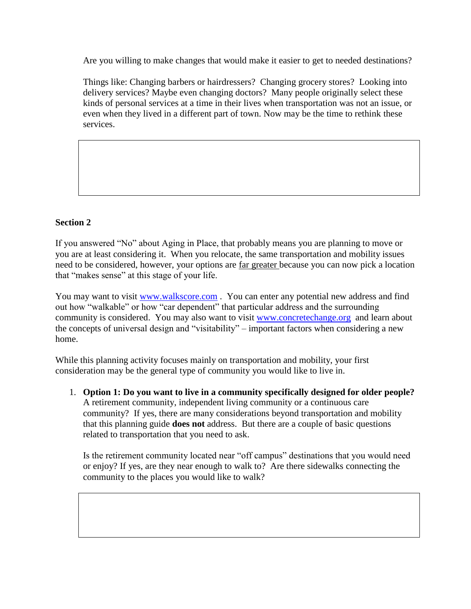Are you willing to make changes that would make it easier to get to needed destinations?

Things like: Changing barbers or hairdressers? Changing grocery stores? Looking into delivery services? Maybe even changing doctors? Many people originally select these kinds of personal services at a time in their lives when transportation was not an issue, or even when they lived in a different part of town. Now may be the time to rethink these services.

## **Section 2**

If you answered "No" about Aging in Place, that probably means you are planning to move or you are at least considering it. When you relocate, the same transportation and mobility issues need to be considered, however, your options are far greater because you can now pick a location that "makes sense" at this stage of your life.

You may want to visit [www.walkscore.com](http://www.walkscore.com/). You can enter any potential new address and find out how "walkable" or how "car dependent" that particular address and the surrounding community is considered. You may also want to visit [www.concretechange.org](http://www.concretechange.org/) and learn about the concepts of universal design and "visitability" – important factors when considering a new home.

While this planning activity focuses mainly on transportation and mobility, your first consideration may be the general type of community you would like to live in.

1. **Option 1: Do you want to live in a community specifically designed for older people?** A retirement community, independent living community or a continuous care community? If yes, there are many considerations beyond transportation and mobility that this planning guide **does not** address. But there are a couple of basic questions related to transportation that you need to ask.

Is the retirement community located near "off campus" destinations that you would need or enjoy? If yes, are they near enough to walk to? Are there sidewalks connecting the community to the places you would like to walk?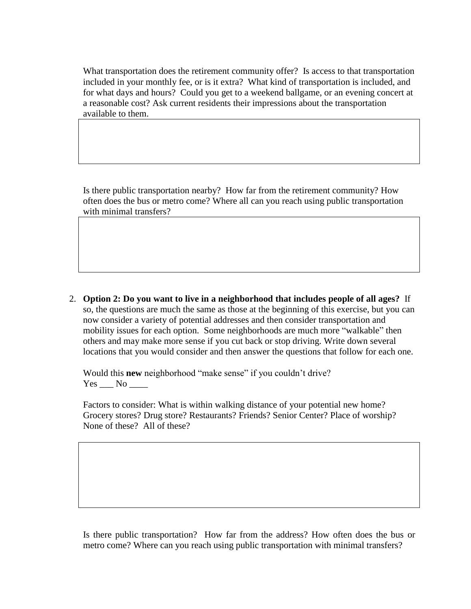What transportation does the retirement community offer? Is access to that transportation included in your monthly fee, or is it extra? What kind of transportation is included, and for what days and hours? Could you get to a weekend ballgame, or an evening concert at a reasonable cost? Ask current residents their impressions about the transportation available to them.

Is there public transportation nearby? How far from the retirement community? How often does the bus or metro come? Where all can you reach using public transportation with minimal transfers?

2. **Option 2: Do you want to live in a neighborhood that includes people of all ages?** If so, the questions are much the same as those at the beginning of this exercise, but you can now consider a variety of potential addresses and then consider transportation and mobility issues for each option. Some neighborhoods are much more "walkable" then others and may make more sense if you cut back or stop driving. Write down several locations that you would consider and then answer the questions that follow for each one.

Would this **new** neighborhood "make sense" if you couldn't drive?  $Yes$  No  $\_\_$ 

Factors to consider: What is within walking distance of your potential new home? Grocery stores? Drug store? Restaurants? Friends? Senior Center? Place of worship? None of these? All of these?

Is there public transportation? How far from the address? How often does the bus or metro come? Where can you reach using public transportation with minimal transfers?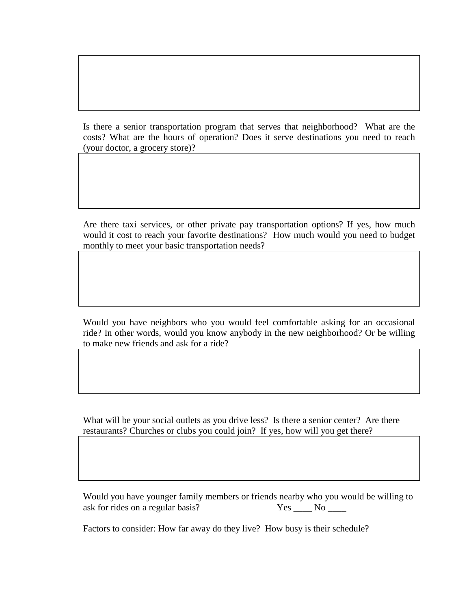Is there a senior transportation program that serves that neighborhood? What are the costs? What are the hours of operation? Does it serve destinations you need to reach (your doctor, a grocery store)?

Are there taxi services, or other private pay transportation options? If yes, how much would it cost to reach your favorite destinations? How much would you need to budget monthly to meet your basic transportation needs?

Would you have neighbors who you would feel comfortable asking for an occasional ride? In other words, would you know anybody in the new neighborhood? Or be willing to make new friends and ask for a ride?

What will be your social outlets as you drive less? Is there a senior center? Are there restaurants? Churches or clubs you could join? If yes, how will you get there?

Would you have younger family members or friends nearby who you would be willing to ask for rides on a regular basis? Yes \_\_\_\_ No \_\_\_\_

Factors to consider: How far away do they live? How busy is their schedule?